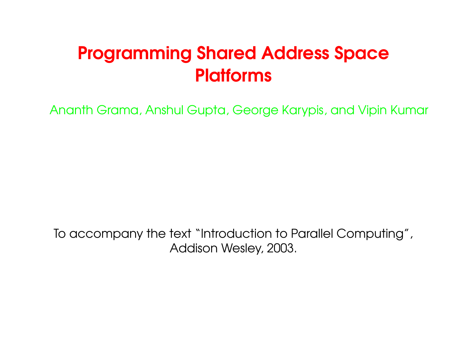# Programming Shared Address Space **Platforms**

Ananth Grama, Anshul Gupta, George Karypis, and Vipin Kumar

To accompany the text "Introduction to Parallel Computing", Addison Wesley, 2003.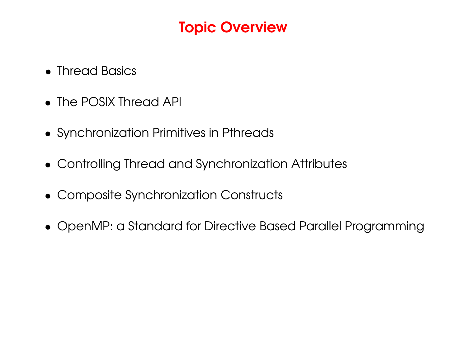# Topic Overview

- Thread Basics
- The POSIX Thread API
- Synchronization Primitives in Pthreads
- Controlling Thread and Synchronization Attributes
- Composite Synchronization Constructs
- OpenMP: <sup>a</sup> Standard for Directive Based Parallel Programming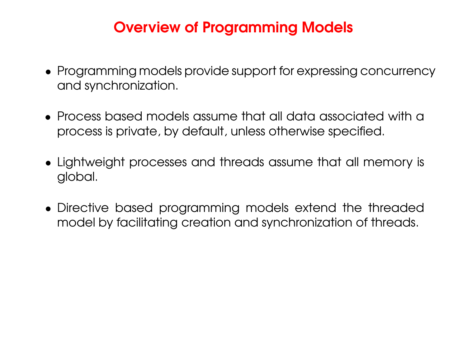# Overview of Programming Models

- Programming models provide support for expressing concurrency and synchronization.
- Process based models assume that all data associated with a process is private, by default, unless otherwise specified.
- Lightweight processes and threads assume that all memory is global.
- Directive based programming models extend the threaded model by facilitating creation and synchronization of threads.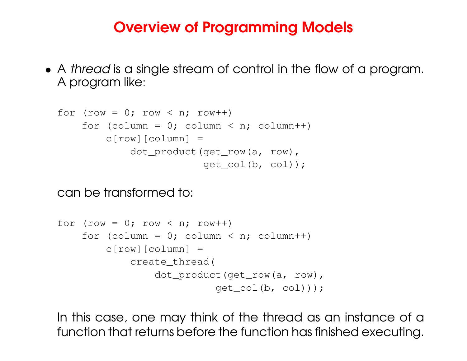### Overview of Programming Models

• A thread is <sup>a</sup> single stream of control in the flow of <sup>a</sup> program. A program like:

```
for (row = 0; row < n; row++)
    for (column = 0; column < n; column++)
       c[row][column] =
            dot product(get row(a, row),
                        qet col(b, col);
```
can be transformed to:

```
for (row = 0; row < n; row++)
    for (column = 0; column < n; column++)
       c[row][column] =create_thread(
                dot product(get row(a, row),
                          qet col(b, col));
```
In this case, one may think of the thread as an instance of <sup>a</sup> function that returns before the function has finished executing.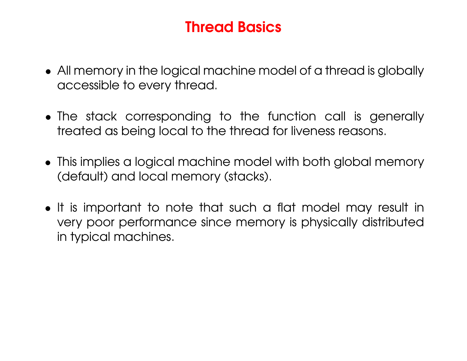### Thread Basics

- All memory in the logical machine model of <sup>a</sup> thread is globally accessible to every thread.
- The stack corresponding to the function call is generally treated as being local to the thread for liveness reasons.
- This implies <sup>a</sup> logical machine model with both global memory (default) and local memory (stacks).
- It is important to note that such <sup>a</sup> flat model may result in very poor performance since memory is physically distributed in typical machines.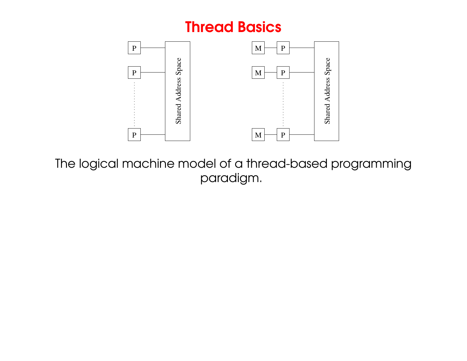#### Thread Basics



The logical machine model of <sup>a</sup> thread-based programming paradigm.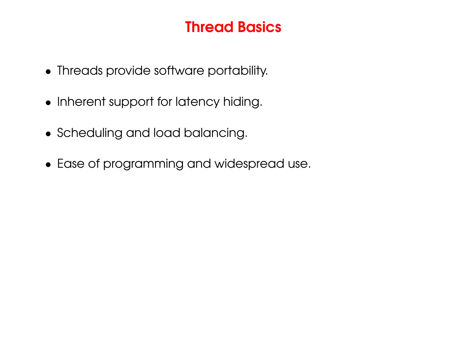### Thread Basics

- Threads provide software portability.
- Inherent support for latency hiding.
- Scheduling and load balancing.
- Ease of programming and widespread use.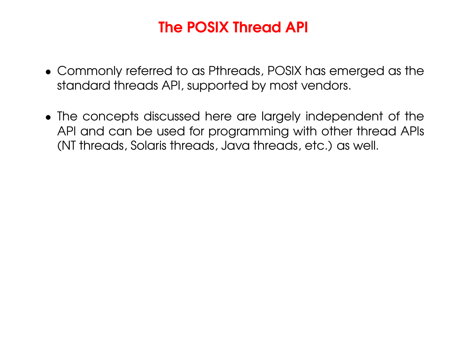# The POSIX Thread API

- Commonly referred to as Pthreads, POSIX has emerged as the standard threads API, supported by most vendors.
- The concepts discussed here are largely independent of the API and can be used for programming with other thread APIs (NT threads, Solaris threads, Java threads, etc.) as well.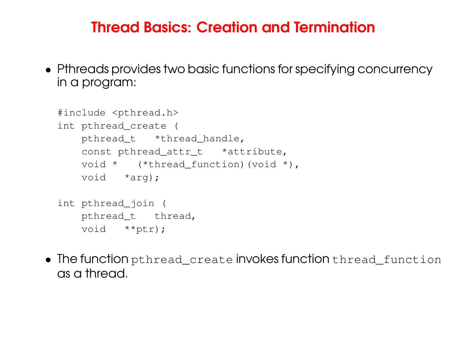#### Thread Basics: Creation and Termination

• Pthreads provides two basic functions for specifying concurrency in a program:

```
#include <pthread.h>
int pthread_create (
   pthread_t *thread_handle,
    const pthread_attr_t *attribute,
    void * (*thread_function)(void *),
    void *arg);
int pthread_join (
   pthread_t thread,
    void **ptr);
```
 $\bullet\,$  The function  ${\tt phread\_create}$  invokes function  ${\tt thread\_function}$ as a thread.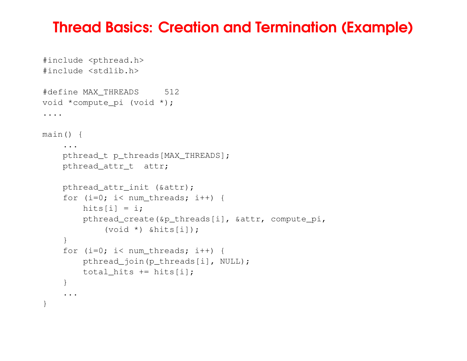#### Thread Basics: Creation and Termination (Example)

```
#include <pthread.h>
#include <stdlib.h>
#define MAX_THREADS 512
void *compute_pi (void *);
....
main() {
    ...pthread t p_threads[MAX_THREADS];
    pthread attr<sub>t</sub> attr;
    pthread_attr_init (&attr);
    for (i=0; i< num_threads; i++) {
        hits[i] = i;pthread_create(&p_threads[i], &attr, compute_pi,
             (void *) &hits[i]);
    }
    for (i=0; i< num_threads; i++) {
        pthread_join(p_threads[i], NULL);
        total hits += hits[i];
    }
     ...
}
```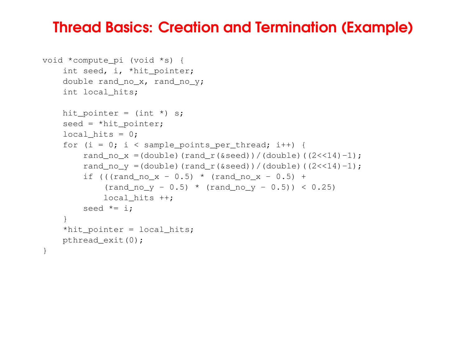#### Thread Basics: Creation and Termination (Example)

```
void *compute_pi (void *s) {
    int seed, i, *hit_pointer;
    double rand_no_x, rand_no_y;
    int local_hits;
   hit_pointer = (int *) s;seed = *hit_pointer;
    local hits = 0;
    for (i = 0; i < sample_points_per_thread; i++) {
        rand no x = (double) (rand r(delta)) / (double) ((2<<14)-1);rand no v = (double) (rand r(delta)) / (double) ((2<<14)-1);if (((rand_no_x - 0.5) * (rand_no_x - 0.5) +
            (rand-no_y - 0.5) * (rand-no_y - 0.5)) < 0.25local hits ++;seed *= i;
    }
    *hit_pointer = local_hits;
   pthread_exit(0);
}
```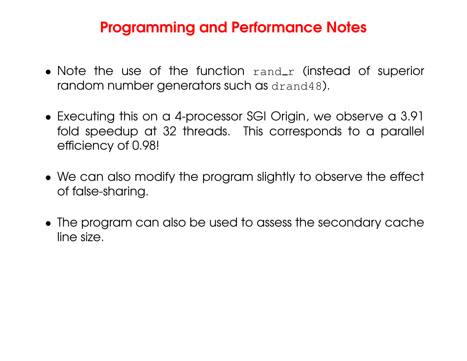### Programming and Performance Notes

- Note the use of the function  $\text{rand}_r$  (instead of superior random number generators such as drand48).
- Executing this on <sup>a</sup> 4-processor SGI Origin, we observe <sup>a</sup> 3.91 fold speedup at 32 threads. This corresponds to <sup>a</sup> parallel efficiency of 0.98!
- We can also modify the program slightly to observe the effect of false-sharing.
- The program can also be used to assess the secondary cache line size.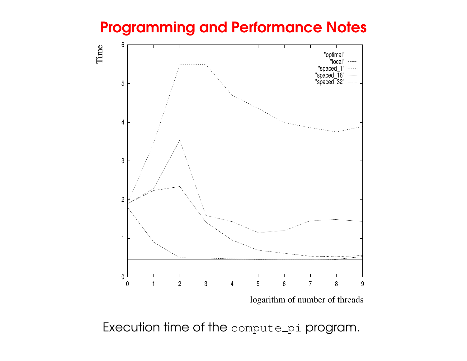### Programming and Performance Notes



logarithm of number of threads

Execution time of the  $\texttt{compute\_pi}$  program.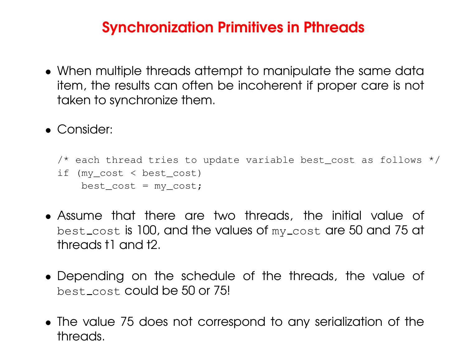### Synchronization Primitives in Pthreads

- When multiple threads attempt to manipulate the same data item, the results can often be incoherent if proper care is not taken to synchronize them.
- Consider:

```
\frac{1}{x} each thread tries to update variable best_cost as follows \frac{x}{x}if (my_cost < best_cost)
    best\_cost = my\_cost;
```
- Assume that there are two threads, the initial value of <code>best\_cost</code> is 100, and the values of  $\scriptstyle{\rm my\_cost}$  are 50 and 75 at threads t1 and t2.
- Depending on the schedule of the threads, the value of best\_cost **could be 50 or 75!**
- The value 75 does not correspond to any serialization of the threads.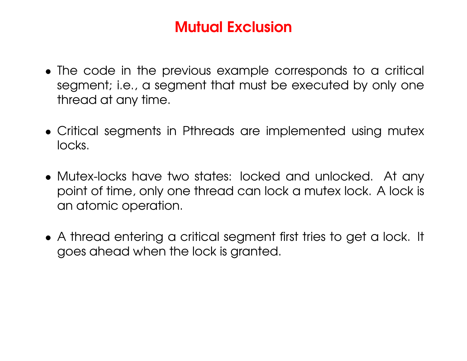# Mutual Exclusion

- The code in the previous example corresponds to <sup>a</sup> critical segment; i.e., <sup>a</sup> segment that must be executed by only one thread at any time.
- Critical segments in Pthreads are implemented using mutex locks.
- Mutex-locks have two states: locked and unlocked. At any point of time, only one thread can lock <sup>a</sup> mutex lock. A lock is an atomic operation.
- A thread entering <sup>a</sup> critical segment first tries to get <sup>a</sup> lock. It goes ahead when the lock is granted.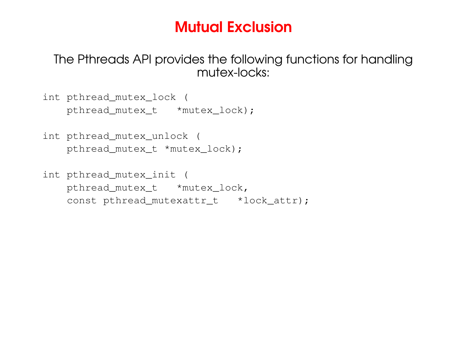### Mutual Exclusion

The Pthreads API provides the following functions for handling mutex-locks:

int pthread\_mutex\_lock ( pthread\_mutex\_t \*mutex\_lock);

- int pthread\_mutex\_unlock ( pthread mutex t \*mutex lock);
- int pthread\_mutex\_init ( pthread\_mutex\_t \*mutex\_lock, const pthread\_mutexattr\_t \*lock\_attr);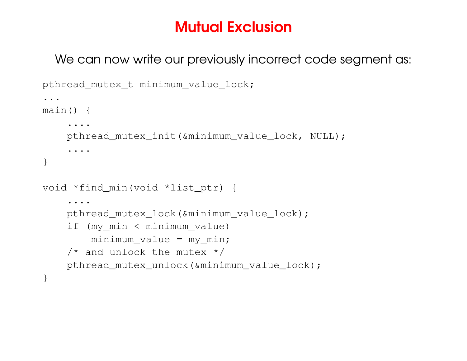# Mutual Exclusion

We can now write our previously incorrect code segment as:

```
pthread mutex t minimum value lock;
...main() {
     ....
    pthread_mutex_init(&minimum_value_lock, NULL);
     ....
}
void *find_min(void *list_ptr) {
    ....pthread mutex lock(&minimum value lock);
    if (my_min < minimum_value)
        minimum value = my min;
    \frac{1}{x} and unlock the mutex \frac{x}{x}pthread mutex unlock(&minimum value lock);
}
```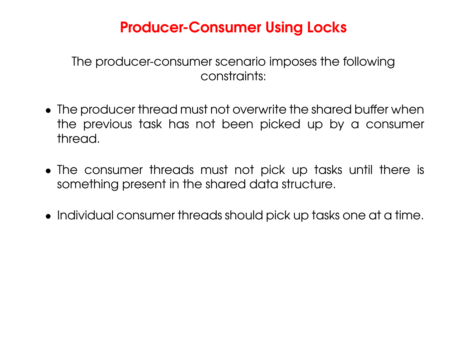# Producer-Consumer Using Locks

The producer-consumer scenario imposes the following constraints:

- The producer thread must not overwrite the shared buffer when the previous task has not been picked up by <sup>a</sup> consumer thread.
- The consumer threads must not pick up tasks until there is something present in the shared data structure.
- Individual consumer threads should pick up tasks one at <sup>a</sup> time.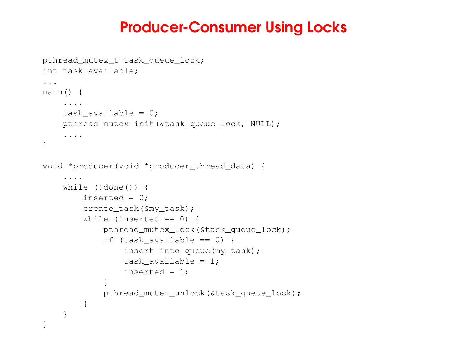### Producer-Consumer Using Locks

```
pthread_mutex_t task_queue_lock;
int task_available;
...
main() {
    ....
    task_available = 0;pthread_mutex_init(&task_queue_lock, NULL);
    ....
}
void *producer(void *producer_thread_data) {
    ....while (!done()) {
        inserted = 0;
        create_task(&my_task);
        while (inserted == 0) {
            pthread_mutex_lock(&task_queue_lock);
             if (task_available == 0) {
                insert_into_queue(my_task);
                task available = 1;inserted = 1;
             }
            pthread_mutex_unlock(&task_queue_lock);
        }
    }
}
```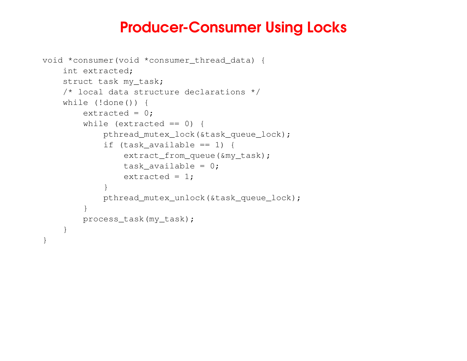### Producer-Consumer Using Locks

```
void *consumer(void *consumer_thread_data) {
    int extracted;
    struct task my_task;
   /* local data structure declarations */
    while (!done()) {
        extracted = 0;
        while (extracted == 0) {
            pthread_mutex_lock(&task_queue_lock);
            if (task_available == 1) {
                extract from queue(&my_task);
                task available = 0;
                 extracted = 1;
            }
            pthread_mutex_unlock(&task_queue_lock);
        }
        process_task(my_task);
    }
}
```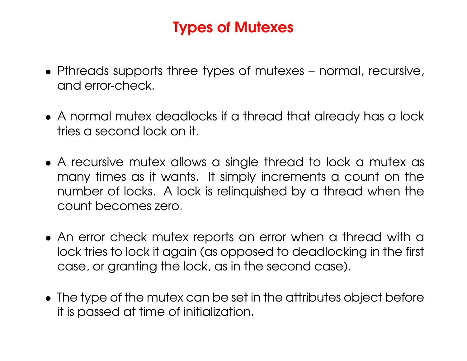# Types of Mutexes

- Pthreads supports three types of mutexes normal, recursive, and error-check.
- A normal mutex deadlocks if <sup>a</sup> thread that already has <sup>a</sup> lock tries a second lock on it.
- A recursive mutex allows <sup>a</sup> single thread to lock <sup>a</sup> mutex as many times as it wants. It simply increments <sup>a</sup> count on the number of locks. A lock is relinquished by <sup>a</sup> thread when the count becomes zero.
- An error check mutex reports an error when <sup>a</sup> thread with <sup>a</sup> lock tries to lock it again (as opposed to deadlocking in the first case, or granting the lock, as in the second case).
- The type of the mutex can be set in the attributes object before it is passed at time of initialization.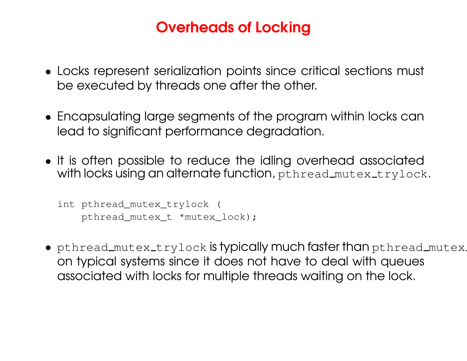# Overheads of Locking

- Locks represent serialization points since critical sections must be executed by threads one after the other.
- Encapsulating large segments of the program within locks can lead to significant performance degradation.
- It is often possible to reduce the idling overhead associated with locks using an alternate function,  $\tt{pthread_m}$ utex\_trylock.

```
int pthread_mutex_trylock (
   pthread mutex_t *mutex_lock);
```
 $\bullet\,$  pthread\_mutex\_trylock  $\sf is$  typically much faster than <code>pthread\_mutex</code> . on typical systems since it does not have to deal with queues associated with locks for multiple threads waiting on the lock.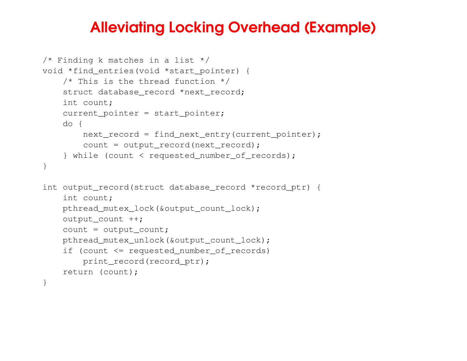### Alleviating Locking Overhead (Example)

```
/* Finding k matches in a list */
void *find_entries(void *start_pointer) {
    /* This is the thread function */struct database_record *next_record;
    int count;
    current_pointer = start_pointer;
    do {
        next_record = find_next_entry(current_pointer);
        count = output_record(next_record);
    } while (count < requested_number_of_records);
}
int output_record(struct database_record *record_ptr) {
    int count;
    pthread_mutex_lock(&output_count_lock);
    output_count ++;
    count = output_count;
    pthread mutex unlock(&output_count_lock);
    if (count <= requested_number_of_records)
        print_record(record ptr);
    return (count);
}
```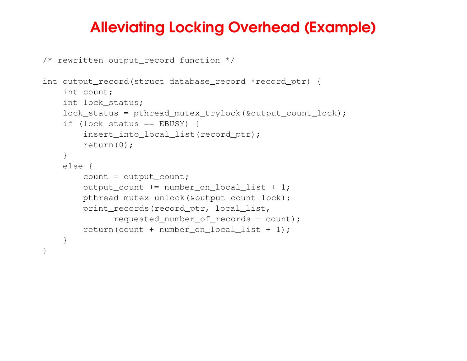### Alleviating Locking Overhead (Example)

```
/* rewritten output_record function */
```

```
int output_record(struct database_record *record_ptr) {
    int count;
    int lock_status;
   lock_status = pthread_mutex_trylock(&output_count_lock);
    if (lock_status == EBUSY) {
        insert_into_local_list(record_ptr);
       return(0);
    }
    else {
        count = output_count;
        output\_count += number\_on\_local\_list + 1;pthread_mutex_unlock(&output_count_lock);
        print_records(record_ptr, local_list,
              requested_number_of_records - count);
        return(count + number_on_local_list + 1);
    }
}
```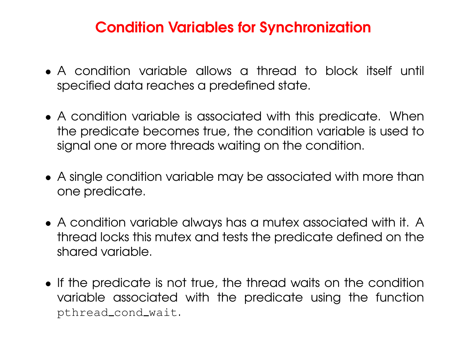### Condition Variables for Synchronization

- A condition variable allows a thread to block itself until specified data reaches <sup>a</sup> predefined state.
- A condition variable is associated with this predicate. When the predicate becomes true, the condition variable is used to signal one or more threads waiting on the condition.
- A single condition variable may be associated with more than one predicate.
- A condition variable always has <sup>a</sup> mutex associated with it. A thread locks this mutex and tests the predicate defined on the shared variable.
- If the predicate is not true, the thread waits on the condition variable associated with the predicate using the function pthread cond wait.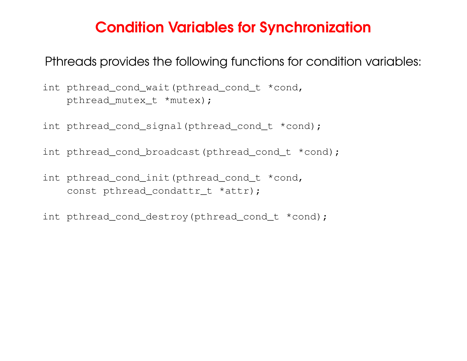#### Condition Variables for Synchronization

Pthreads provides the following functions for condition variables:

int pthread\_cond\_wait(pthread\_cond\_t \*cond, pthread mutex t \*mutex);

int pthread\_cond\_signal(pthread\_cond\_t \*cond);

int pthread\_cond\_broadcast(pthread\_cond\_t \*cond);

int pthread\_cond\_init(pthread\_cond\_t \*cond, const pthread\_condattr\_t \*attr);

int pthread\_cond\_destroy(pthread\_cond\_t \*cond);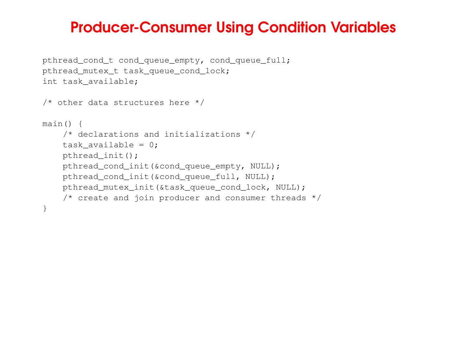#### Producer-Consumer Using Condition Variables

```
pthread_cond_t cond_queue_empty, cond_queue_full;
pthread_mutex_t task_queue_cond_lock;
int task_available;
/* other data structures here */
main() {
    /* declarations and initializations */
    task available = 0;pthread_init();
    pthread cond init (&cond queue empty, NULL);
    pthread_cond_init(&cond_queue_full, NULL);
    pthread_mutex_init(&task_queue_cond_lock, NULL);
    \frac{1}{x} create and join producer and consumer threads \frac{x}{x}}
```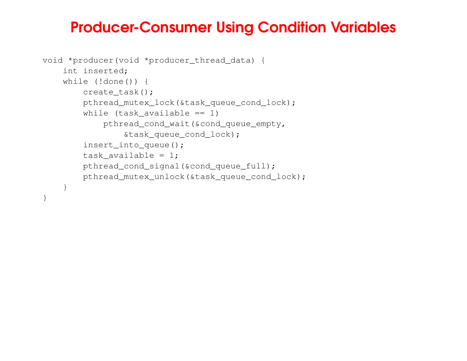### Producer-Consumer Using Condition Variables

```
void *producer(void *producer_thread_data) {
    int inserted;
    while (!done()) {
       create_task();
       pthread_mutex_lock(&task_queue_cond_lock);
        while (task_available == 1)
           pthread_cond_wait(&cond_queue_empty,
                &task_queue_cond_lock);
       insert_into_queue();
       task available = 1;pthread cond signal(&cond queue full);
       pthread_mutex_unlock(&task_queue_cond_lock);
   }
```
}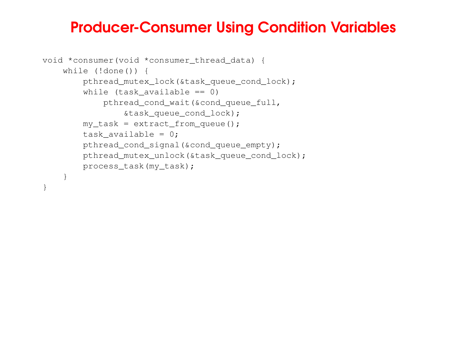#### Producer-Consumer Using Condition Variables

```
void *consumer(void *consumer_thread_data) {
    while (!done()) {
       pthread_mutex_lock(&task_queue_cond_lock);
        while (task_available == 0)
           pthread_cond_wait(&cond_queue_full,
                &task_queue_cond_lock);
       my\_task = extract\_from\_queue();
       task_available = 0;
       pthread cond signal(&cond queue empty);
       pthread mutex_unlock(&task_queue_cond_lock);
       process_task(my_task);
   }
```
}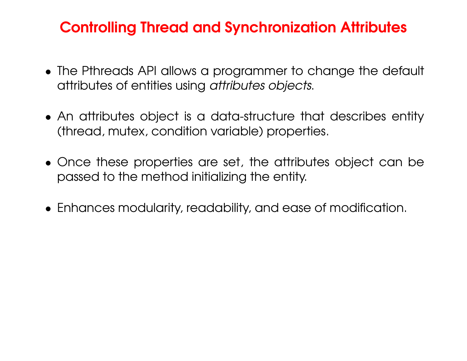### Controlling Thread and Synchronization Attributes

- The Pthreads API allows a programmer to change the default attributes of entities using *attributes objects*.
- An attributes object is <sup>a</sup> data-structure that describes entity (thread, mutex, condition variable) properties.
- Once these properties are set, the attributes object can be passed to the method initializing the entity.
- Enhances modularity, readability, and ease of modification.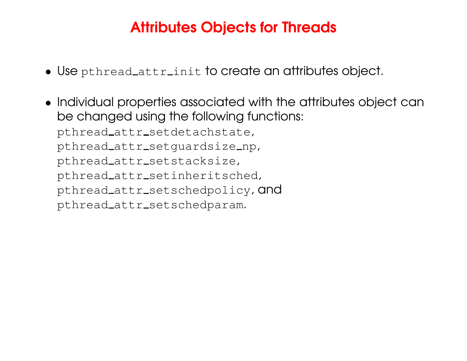# Attributes Objects for Threads

- $\bullet\,$  Use <code>pthread\_attr\_init</code> to create an attributes object.
- Individual properties associated with the attributes object can be changed using the following functions: pthread\_attr\_setdetachstate, pthread\_attr\_setguardsize\_np, pthread\_attr\_setstacksize, pthread\_attr\_setinheritsched, pthread\_attr\_setschedpolicy, and pthread\_attr\_setschedparam.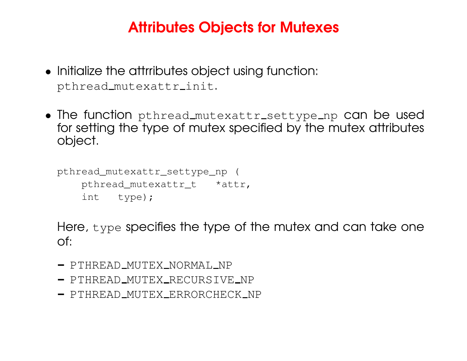# Attributes Objects for Mutexes

- Initialize the attrributes object using function: pthread\_mutexattr\_init.
- The function pthread\_mutexattr\_settype\_np can be used for setting the type of mutex specified by the mutex attributes object.

```
pthread_mutexattr_settype_np (
    pthread_mutexattr_t *attr,
    int type);
```
Here, type specifies the type of the mutex and can take one of:

- $\hspace{0.1cm}-$  PTHREAD\_MUTEX\_NORMAL\_NP
- $\overline{\phantom{a}}$  PTHREAD\_MUTEX\_RECURSIVE\_NP
- PTHREAD MUTEX ERRORCHECK NP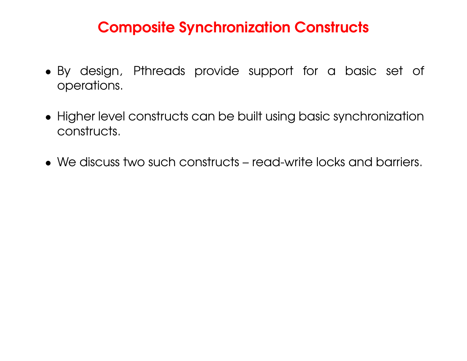### Composite Synchronization Constructs

- By design, Pthreads provide support for <sup>a</sup> basic set of operations.
- Higher level constructs can be built using basic synchronization constructs.
- We discuss two such constructs read-write locks and barriers.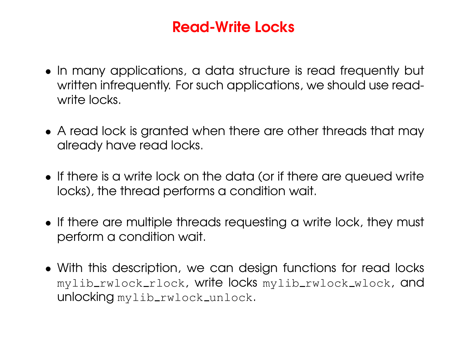- In many applications, <sup>a</sup> data structure is read frequently but written infrequently. For such applications, we should use readwrite locks.
- A read lock is granted when there are other threads that may already have read locks.
- If there is a write lock on the data (or if there are queued write locks), the thread performs <sup>a</sup> condition wait.
- If there are multiple threads requesting <sup>a</sup> write lock, they must perform <sup>a</sup> condition wait.
- With this description, we can design functions for read locks mylib\_rwlock\_rlock, write locks mylib\_rwlock\_wlock, and unlocking mylib\_rwlock\_unlock.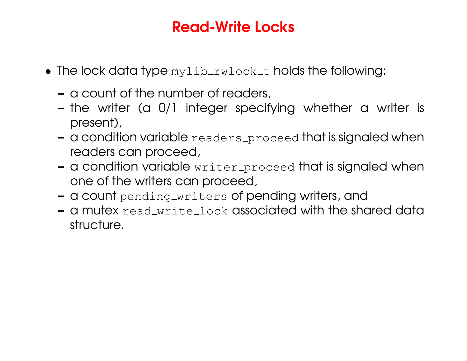- $\bullet\,$  The lock data type  $_{\tt Mylib_rwlock\_t}$  holds the following:
	- a count of the number of readers,
	- the writer (a 0/1 integer specifying whether <sup>a</sup> writer is present),
	- $\,$  a condition variable  $_{\rm{readers\_proceed}}$  that is signaled when readers can proceed,
	- a condition variable  $\texttt{writer\_procedure}$  that is signaled when one of the writers can proceed,
	- a count  $\texttt{pending\_writes}$ rs of pending writers, and
	- a mutex  $\verb|read.write_loss|$  associated with the shared data structure.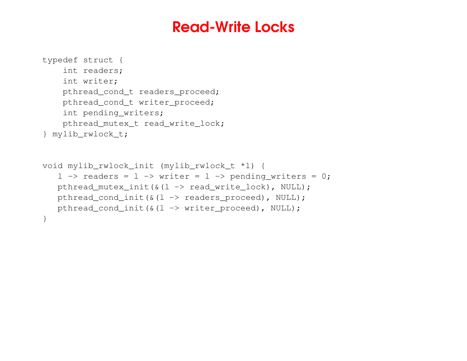```
typedef struct {
    int readers;
    int writer;
    pthread_cond_t readers_proceed;
    pthread_cond_t writer_proceed;
    int pending_writers;
    pthread_mutex_t read_write_lock;
} mylib_rwlock_t;
void mylib_rwlock_init (mylib_rwlock_t *l) {
   l -> readers = l -> writer = l -> pending_writers = 0;
   pthread_mutex_init(&(l -> read_write_lock), NULL);
   pthread cond init(\&(1 \rightarrow readers proceed), NULL);
   pthread_cond_init(&(l -> writer_proceed), NULL);
}
```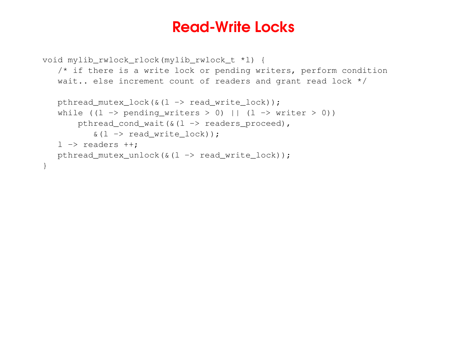```
void mylib_rwlock_rlock(mylib_rwlock_t *l) {
   /* if there is a write lock or pending writers, perform condition
   wait.. else increment count of readers and grant read lock */
  pthread_mutex_lock(&(l -> read_write_lock));
   while ((l -> pending_writers > 0) || (l -> writer > 0))
       pthread_cond_wait(\&(1 \rightarrow readers_proceed),
          \&(1 \rightarrow \text{read\_write\_lock}));
   l -> readers ++;
  pthread_mutex_unlock(&(l -> read_write_lock));
}
```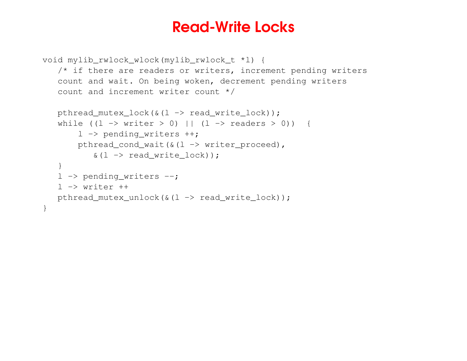```
void mylib_rwlock_wlock(mylib_rwlock_t *l) {
   /* if there are readers or writers, increment pending writers
   count and wait. On being woken, decrement pending writers
   count and increment writer count */
   pthread_mutex_lock(\&(1 \rightarrow \text{read\_write\_lock}));
   while ((l -> writer > 0) || (l -> readers > 0)) {
       l -> pending_writers ++;
       pthread_cond_wait(\&(1 \rightarrow writer_proceed),
           \&(1 \rightarrow read\_write\_lock) );
   }
   l -> pending_writers --;
   l -> writer ++
  pthread_mutex_unlock(&(l -> read_write_lock));
}
```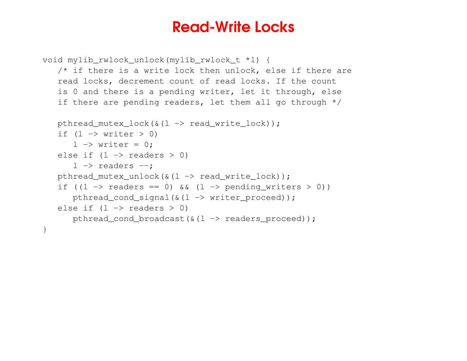```
void mylib_rwlock_unlock(mylib_rwlock_t *l) {
   /* if there is a write lock then unlock, else if there are
   read locks, decrement count of read locks. If the count
   is 0 and there is a pending writer, let it through, else
   if there are pending readers, let them all go through */
  pthread_mutex_lock(&(l -> read_write_lock));
   if (l -> writer > 0)
      l \rightarrow writer = 0;
   else if (l -> readers > 0)
      l -> readers --;
  pthread_mutex_unlock(&(l -> read_write_lock));
   if ((l -> readers == 0) && (l -> pending_writers > 0))
      pthread cond signal(\&(1 \rightarrow writer proceed));
   else if (l -> readers > 0)
      pthread_cond_broadcast(\&(1 \rightarrow readers_proceed));
}
```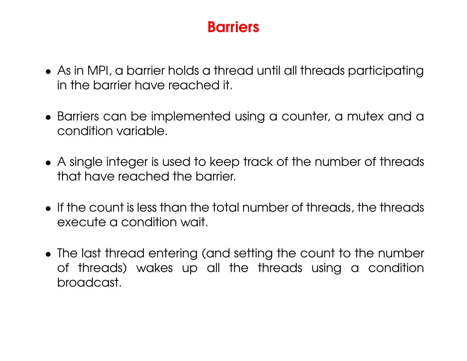- As in MPI, <sup>a</sup> barrier holds <sup>a</sup> thread until all threads participating in the barrier have reached it.
- Barriers can be implemented using <sup>a</sup> counter, <sup>a</sup> mutex and <sup>a</sup> condition variable.
- A single integer is used to keep track of the number of threads that have reached the barrier.
- If the count is less than the total number of threads, the threads execute a condition wait.
- The last thread entering (and setting the count to the number of threads) wakes up all the threads using <sup>a</sup> condition broadcast.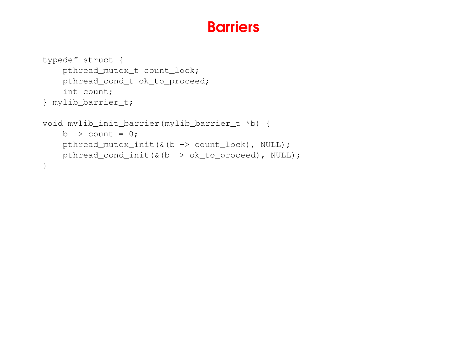```
typedef struct {
    pthread mutex t count lock;
    pthread_cond_t ok_to_proceed;
    int count;
} mylib_barrier_t;
void mylib_init_barrier(mylib_barrier_t *b) {
    b -> count = 0;
    pthread_mutex_init(&(b -> count_lock), NULL);
    pthread_cond_init(&(b -> ok_to_proceed), NULL);
}
```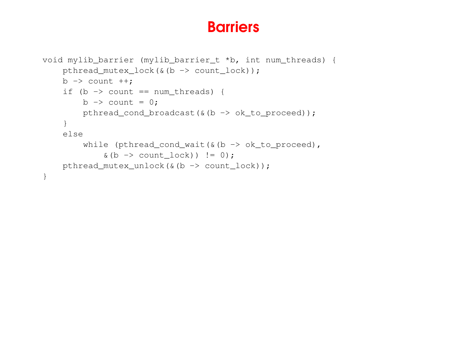```
void mylib_barrier (mylib_barrier_t *b, int num_threads) {
    pthread mutex lock(\& (b \rightarrow count\_lock));
    b -> count ++;
    if (b -> count == num_threads) {
        b -> count = 0;
        pthread_cond_broadcast(&(b -> ok_to_proceed));
    }
    else
         while (pthread_cond_wait(&(b -> ok_to_proceed),
             \& (b \rightarrow count\_lock) != 0);
    pthread_mutex_unlock(&(b -> count_lock));
}
```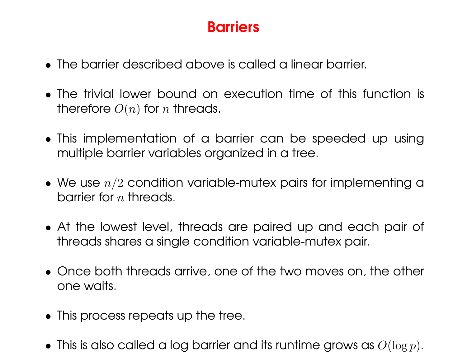- The barrier described above is called a linear barrier.
- The trivial lower bound on execution time of this function is therefore  $O(n)$  for  $n$  threads.
- This implementation of <sup>a</sup> barrier can be speeded up using multiple barrier variables organized in <sup>a</sup> tree.
- $\bullet\,$  We use  $n/2$  condition variable-mutex pairs for implementing a barrier for  $n$  threads.
- At the lowest level, threads are paired up and each pair of threads shares a single condition variable-mutex pair.
- Once both threads arrive, one of the two moves on, the other one waits.
- This process repeats up the tree.
- $\bullet\,$  This is also called a log barrier and its runtime grows as  $O(\log p).$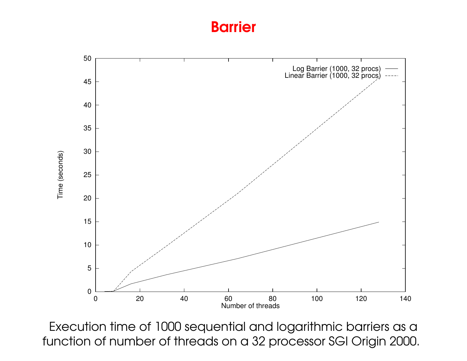

Execution time of 1000 sequential and logarithmic barriers as <sup>a</sup> function of number of threads on a 32 processor SGI Origin 2000.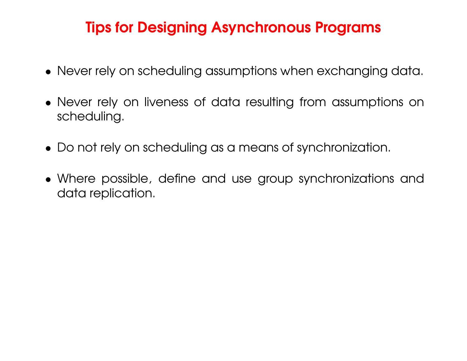# Tips for Designing Asynchronous Programs

- Never rely on scheduling assumptions when exchanging data.
- Never rely on liveness of data resulting from assumptions on scheduling.
- Do not rely on scheduling as <sup>a</sup> means of synchronization.
- Where possible, define and use group synchronizations and data replication.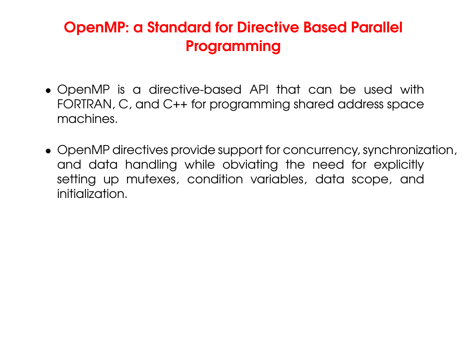# OpenMP: <sup>a</sup> Standard for Directive Based Parallel Programming

- OpenMP is <sup>a</sup> directive-based API that can be used with FORTRAN, C, and C++ for programming shared address space machines.
- OpenMP directives provide support for concurrency, synchronization, and data handling while obviating the need for explicitly setting up mutexes, condition variables, data scope, and initialization.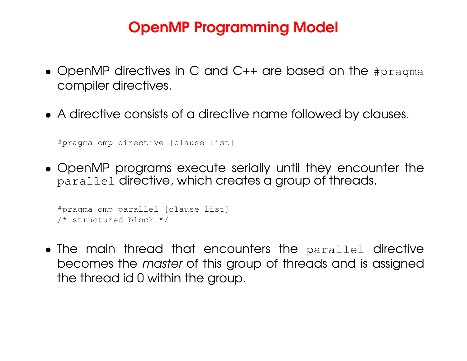- OpenMP directives in C and C++ are based on the #pragma compiler directives.
- A directive consists of <sup>a</sup> directive name followed by clauses.

```
#pragma omp directive [clause list]
```
• OpenMP programs execute serially until they encounter the parallel directive, which creates <sup>a</sup> group of threads.

```
#pragma omp parallel [clause list]
/* structured block */
```
• The main thread that encounters the parallel directive becomes the *master* of this group of threads and is assigned the thread id 0 within the group.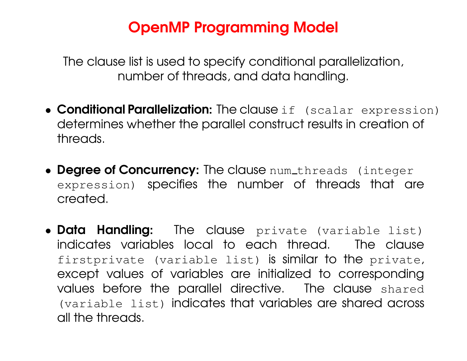The clause list is used to specify conditional parallelization, number of threads, and data handling.

- **Conditional Parallelization:** The clause if (scalar expression) determines whether the parallel construct results in creation of threads.
- Degree of Concurrency: The clause num\_threads (integer expression) specifies the number of threads that are created.
- **Data Handling:** The clause private (variable list) indicates variables local to each thread. The clause firstprivate (variable list) is similar to the private, except values of variables are initialized to corresponding values before the parallel directive. The clause shared (variable list) indicates that variables are shared across all the threads.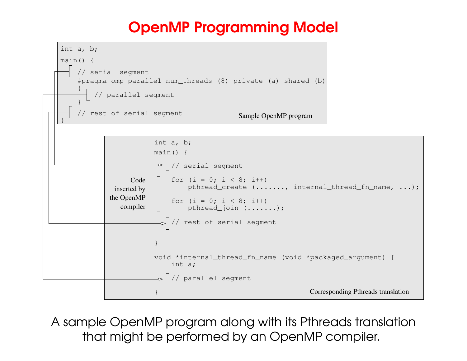

A sample OpenMP program along with its Pthreads translation that might be performed by an OpenMP compiler.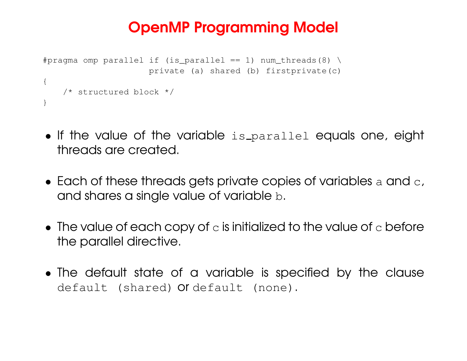```
#pragma omp parallel if (is_parallel == 1) num_threads(8) \
                     private (a) shared (b) firstprivate(c)
{
    /* structured block */
}
```
- $\bullet$  If the value of the variable  $\text{is}$  parallel equals one, eight threads are created.
- $\bullet\,$  Each of these threads gets private copies of variables  $\mathrm{a}\,$  and  $\mathrm{c}$  , and shares <sup>a</sup> single value of variable <sup>b</sup>.
- $\bullet\,$  The value of each copy of  $\circ$  is initialized to the value of  $\circ$  before the parallel directive.
- The default state of a variable is specified by the clause default (shared) or default (none).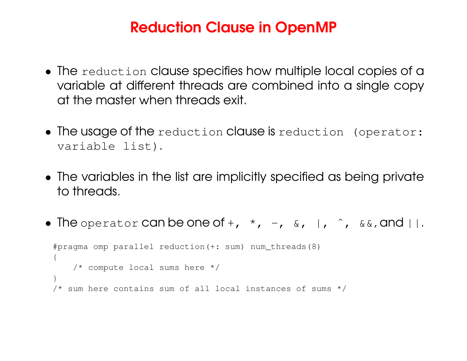### Reduction Clause in OpenMP

- The reduction clause specifies how multiple local copies of <sup>a</sup> variable at different threads are combined into <sup>a</sup> single copy at the master when threads exit.
- The usage of the reduction clause is reduction (operator: variable list).
- The variables in the list are implicitly specified as being private to threads.
- The operator can be one of +,  $\star$ ,  $-$ ,  $\&$ ,  $\mid$ ,  $\hat{}$ ,  $\&$ &, and  $\mid\mid$ . #pragma omp parallel reduction(+: sum) num\_threads(8)  $\left\{ \right.$ /\* compute local sums here \*/

```
/* sum here contains sum of all local instances of sums */
```
}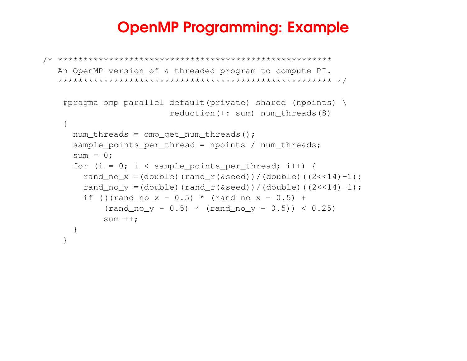### OpenMP Programming: Example

```
/* ******************************************************
   An OpenMP version of a threaded program to compute PI.
   ****************************************************** */
   #pragma omp parallel default(private) shared (npoints) \
                         reduction(+: sum) num_threads(8)
    {
     num_threads = omp_get_num_threads();
      sample points per thread = npoints / num threads;
      \texttt{sum} = 0;
      for (i = 0; i < sample_points_per_thread; i++) {
        rand_no_x =(double)(rand_r(&seed))/(double)((2<<14)-1);
        rand_no_y =(double)(rand_r(&seed))/(double)((2<<14)-1);
        if (((rand_no_x - 0.5) * (rand_no_x - 0.5) +
            (rand-no_y - 0.5) * (rand-no_y - 0.5)) < 0.25sum ++;
      }
    }
```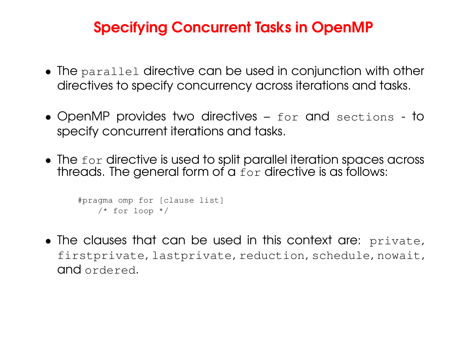### Specifying Concurrent Tasks in OpenMP

- $\bullet$  The  $\texttt{parallel}$  directive can be used in conjunction with other directives to specify concurrency across iterations and tasks.
- OpenMP provides two directives for and sections to specify concurrent iterations and tasks.
- $\bullet$  The  ${\tt for}$  directive is used to split parallel iteration spaces across threads. The general form of a  ${\tt for}$  directive is as follows:

```
#pragma omp for [clause list]
    /* for loop */
```
• The clauses that can be used in this context are: private, firstprivate, lastprivate, reduction, schedule, nowait, **and** ordered.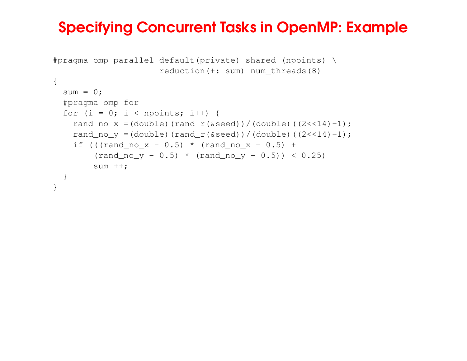### Specifying Concurrent Tasks in OpenMP: Example

```
#pragma omp parallel default(private) shared (npoints) \
                     reduction(+: sum) num_threads(8)
{
  sum = 0;
 #pragma omp for
  for (i = 0; i < npoints; i++) {
   rand_no_x =(double)(rand_r(&seed))/(double)((2<<14)-1);
   rand_no_y =(double)(rand_r(&seed))/(double)((2<<14)-1);
    if (((rand_no_x - 0.5) * (rand_no_x - 0.5) +
        (rand-no_y - 0.5) * (rand-no_y - 0.5)) < 0.25sum ++;
 }
}
```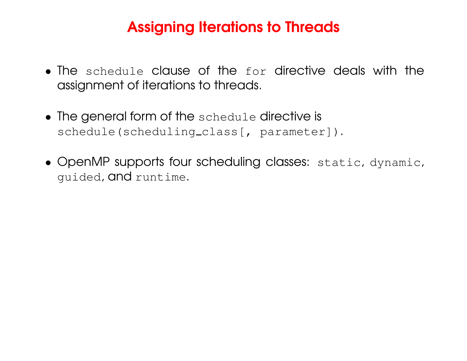# Assigning Iterations to Threads

- The schedule clause of the for directive deals with the assignment of iterations to threads.
- The general form of the schedule directive is schedule(scheduling\_class[, parameter]).
- OpenMP supports four scheduling classes: static, dynamic, guided, and runtime.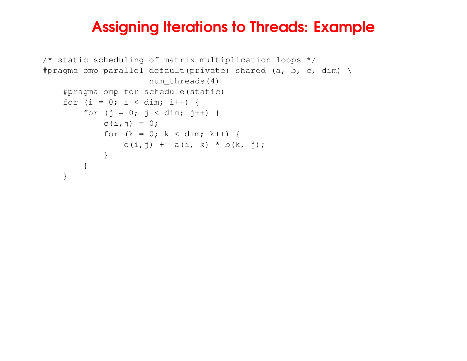### Assigning Iterations to Threads: Example

```
/* static scheduling of matrix multiplication loops */
#pragma omp parallel default(private) shared (a, b, c, dim) \setminusnum_threads(4)
    #pragma omp for schedule(static)
    for (i = 0; i < dim; i++) {
        for (j = 0; j < dim; j++) {
            c(i, j) = 0;for (k = 0; k < dim; k++) {
                c(i,j) += a(i, k) * b(k, j);}
        }
    }
```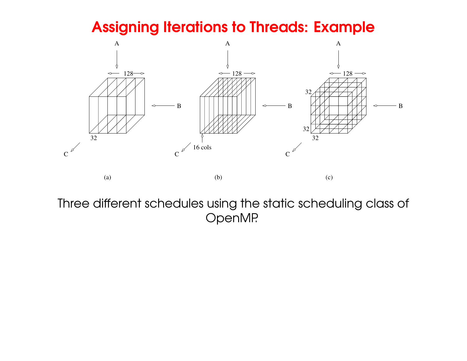### Assigning Iterations to Threads: Example



Three different schedules using the static scheduling class of OpenMP.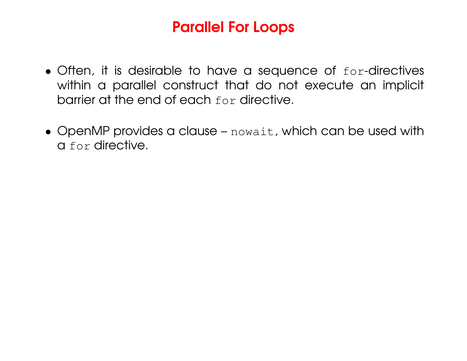### Parallel For Loops

- Often, it is desirable to have <sup>a</sup> sequence of for-directives within a parallel construct that do not execute an implicit barrier at the end of each for directive.
- OpenMP provides <sup>a</sup> clause nowait, which can be used with a for directive.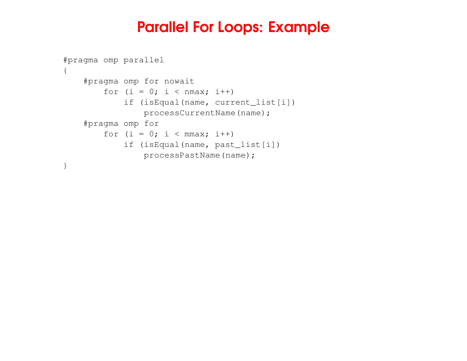#### Parallel For Loops: Example

```
#pragma omp parallel
{
    #pragma omp for nowait
        for (i = 0; i < nmax; i++)
             if (isEqual(name, current_list[i])
                processCurrentName(name);
    #pragma omp for
        for (i = 0; i < mmax; i++)
             if (isEqual(name, past_list[i])
                processPastName(name);
}
```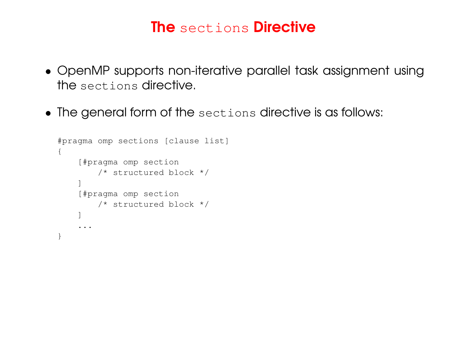### **The** sections **Directive**

- OpenMP supports non-iterative parallel task assignment using the sections directive.
- The general form of the sections directive is as follows:

```
#pragma omp sections [clause list]
{
    [#pragma omp section
        /* structured block */
    ]
    [#pragma omp section
        /* structured block */
    ]
    ...
}
```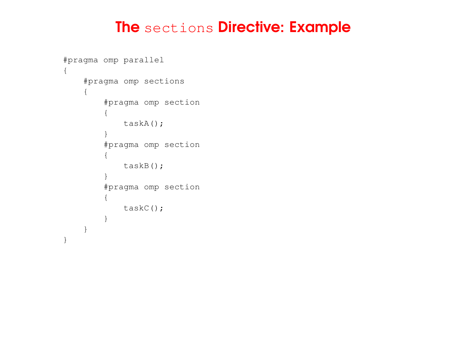#### **The** sections **Directive: Example**

```
#pragma omp parallel
{
    #pragma omp sections
    {
        #pragma omp section
         {
             taskA();
         }
         #pragma omp section
         {
             taskB();
         }
         #pragma omp section
         {
             taskC();
         }
    }
}
```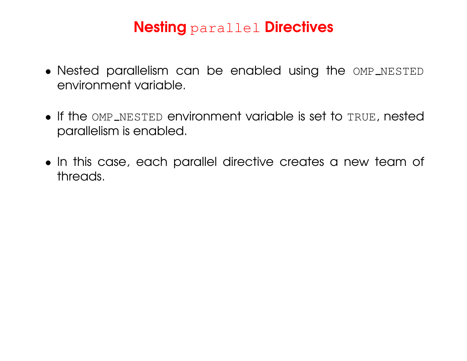# Nesting parallel Directives

- Nested parallelism can be enabled using the OMP NESTED environment variable.
- If the OMP NESTED environment variable is set to TRUE, nested parallelism is enabled.
- In this case, each parallel directive creates <sup>a</sup> new team of threads.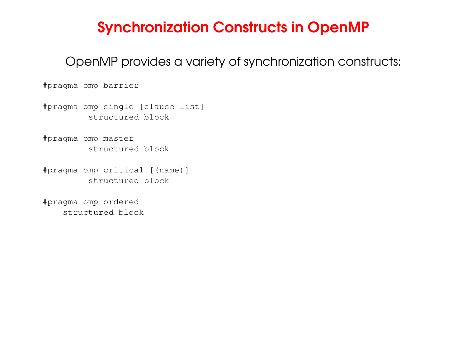### Synchronization Constructs in OpenMP

OpenMP provides <sup>a</sup> variety of synchronization constructs:

#pragma omp barrier

#pragma omp single [clause list] structured block

#pragma omp master structured block

#pragma omp critical [(name)] structured block

#pragma omp ordered structured block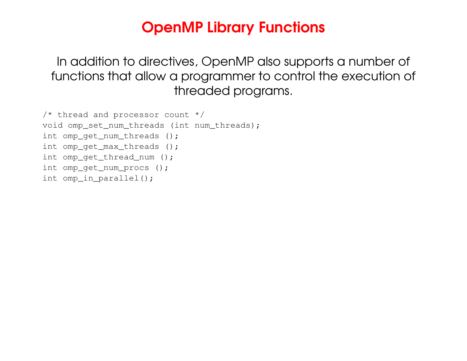### OpenMP Library Functions

In addition to directives, OpenMP also supports <sup>a</sup> number of functions that allow <sup>a</sup> programmer to control the execution of threaded programs.

```
/* thread and processor count */
void omp_set_num_threads (int num_threads);
int omp_get_num_threads ();
int omp_get_max_threads ();
int omp_get_thread_num ();
int omp_get_num_procs ();
int omp_in_parallel();
```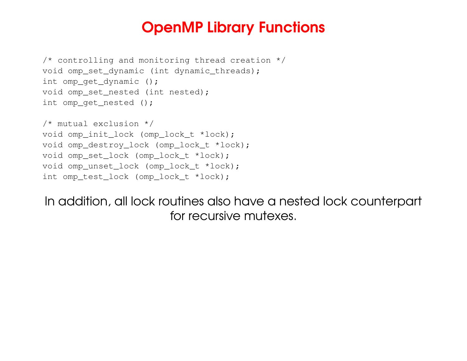#### OpenMP Library Functions

```
/* controlling and monitoring thread creation */
void omp_set_dynamic (int dynamic_threads);
int omp_get_dynamic ();
void omp_set_nested (int nested);
int omp_get_nested ();
```

```
/* mutual exclusion */
void omp_init_lock (omp_lock_t *lock);
void omp_destroy_lock (omp_lock_t *lock);
void omp_set_lock (omp_lock_t *lock);
void omp_unset_lock (omp_lock_t *lock);
int omp_test_lock (omp_lock_t *lock);
```
In addition, all lock routines also have <sup>a</sup> nested lock counterpart for recursive mutexes.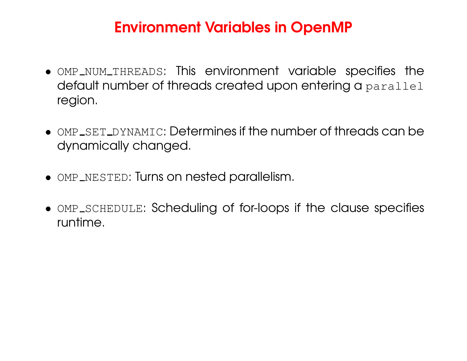# Environment Variables in OpenMP

- $\bullet$  <code>OMP\_NUM\_THREADS: This environment variable specifies the</code> default number of threads created upon entering <sup>a</sup> parallel region.
- $\bullet$  OMP\_SET\_DYNAMIC: Determines if the number of threads can be dynamically changed.
- $\bullet$  OMP\_NESTED: Turns on nested parallelism.
- OMP\_SCHEDULE: Scheduling of for-loops if the clause specifies runtime.